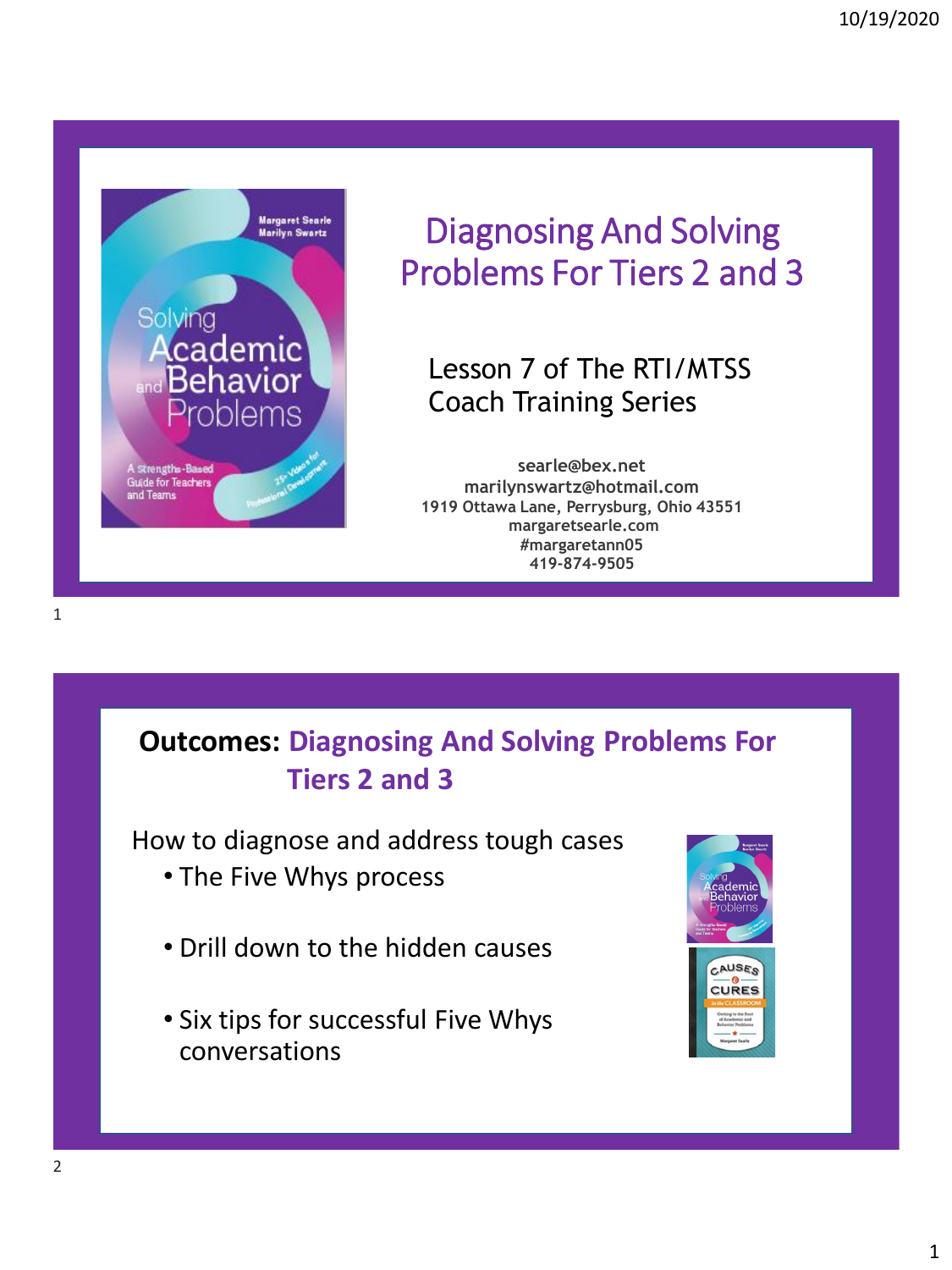

# Diagnosing And Solving Problems For Tiers 2 and 3

Lesson 7 of The RTI/MTSS Coach Training Series

**searle@bex.net marilynswartz@hotmail.com 1919 Ottawa Lane, Perrysburg, Ohio 43551 margaretsearle.com #margaretann05 419-874-9505**

### **Outcomes: Diagnosing And Solving Problems For Tiers 2 and 3**

How to diagnose and address tough cases

- The Five Whys process
- Drill down to the hidden causes
- Six tips for successful Five Whys conversations

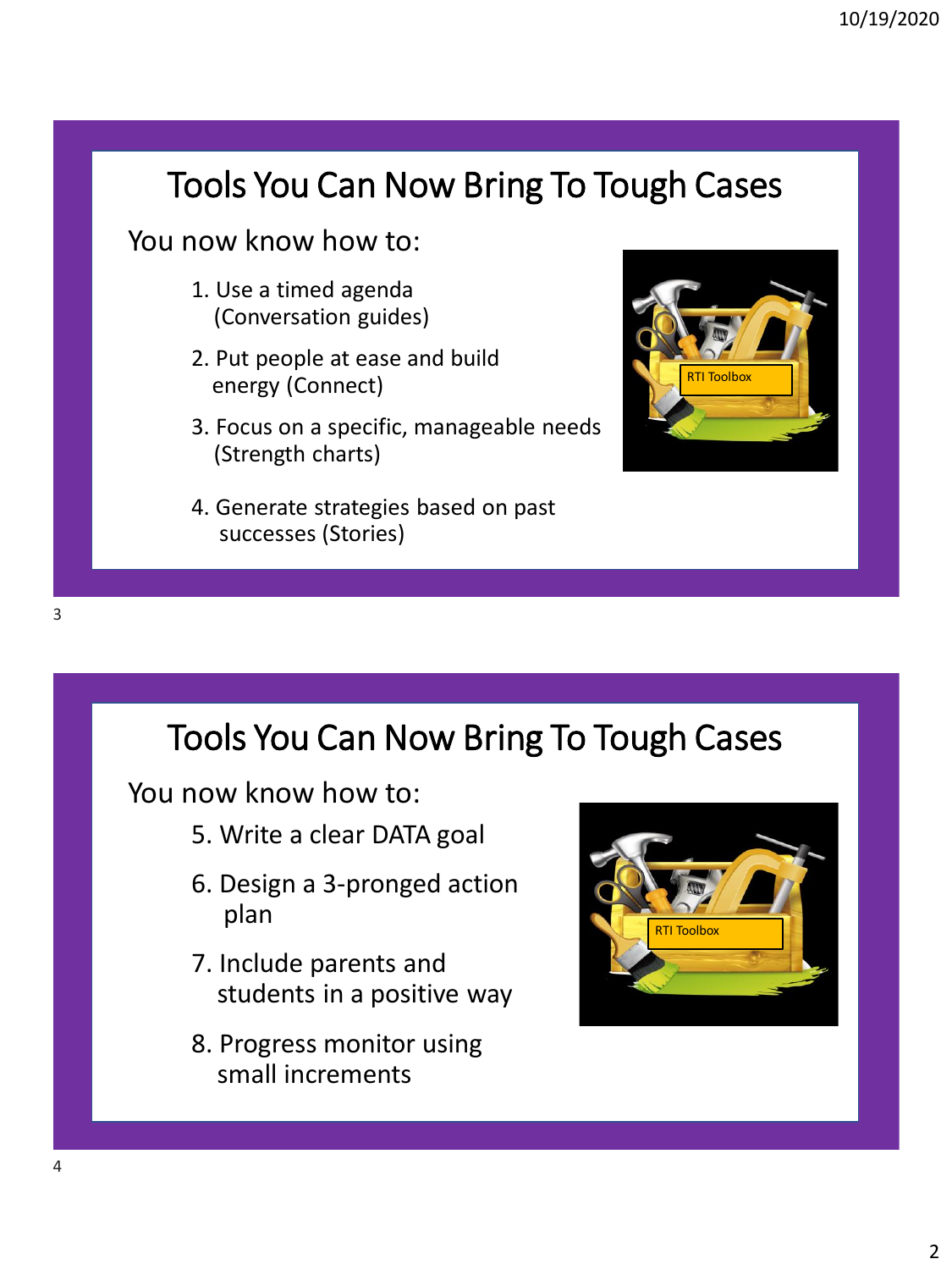# Tools You Can Now Bring To Tough Cases

### You now know how to:

- 1. Use a timed agenda (Conversation guides)
- 2. Put people at ease and build energy (Connect)
- 3. Focus on a specific, manageable needs (Strength charts)
- 4. Generate strategies based on past successes (Stories)



### Tools You Can Now Bring To Tough Cases

You now know how to:

- 5. Write a clear DATA goal
- 6. Design a 3-pronged action plan
- 7. Include parents and students in a positive way
- 8. Progress monitor using small increments

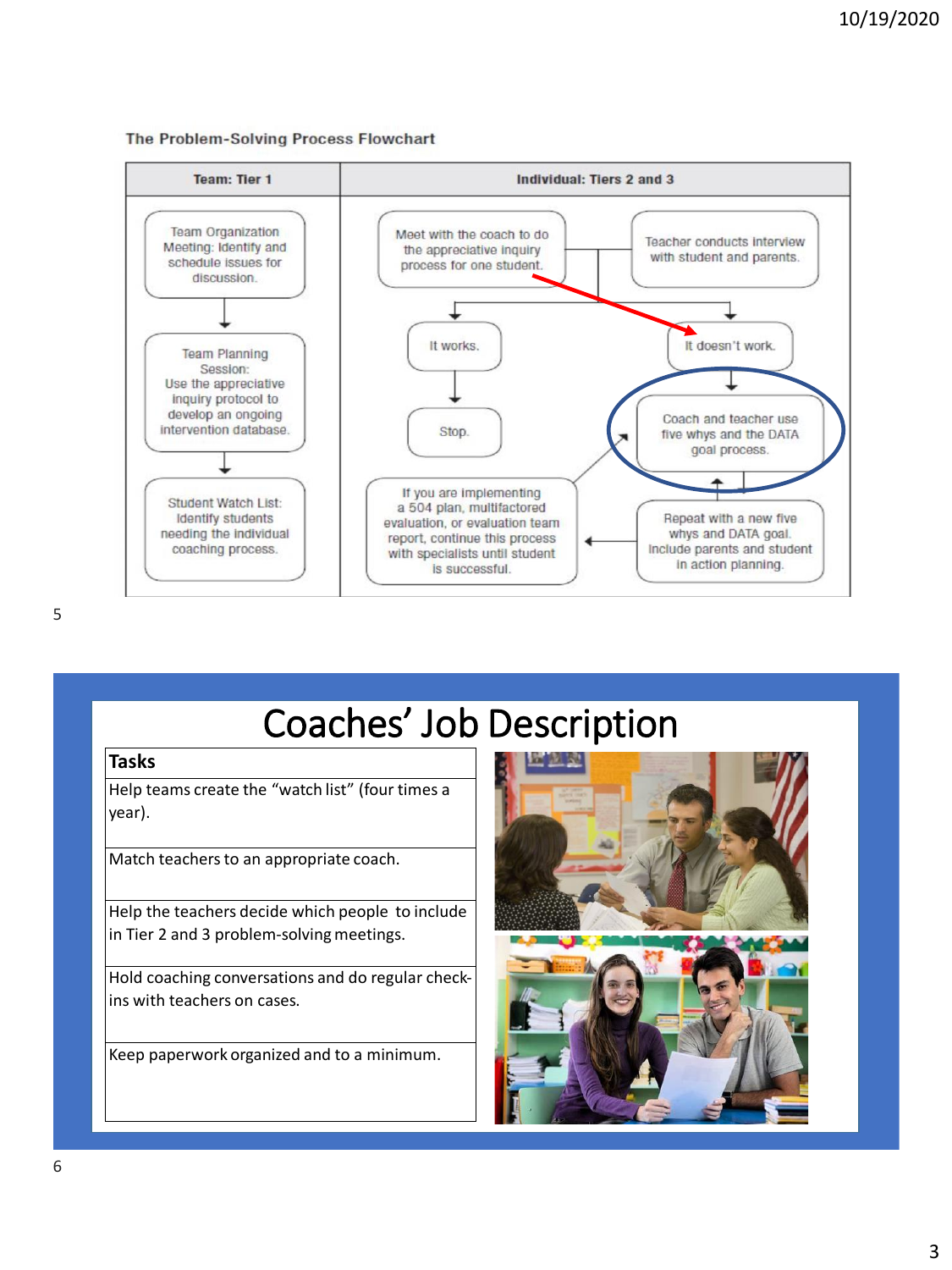### The Problem-Solving Process Flowchart



# Coaches' Job Description

### **Tasks**

Help teams create the "watch list" (four times a year).

Match teachers to an appropriate coach.

Help the teachers decide which people to include in Tier 2 and 3 problem-solving meetings.

Hold coaching conversations and do regular checkins with teachers on cases.

Keep paperwork organized and to a minimum.

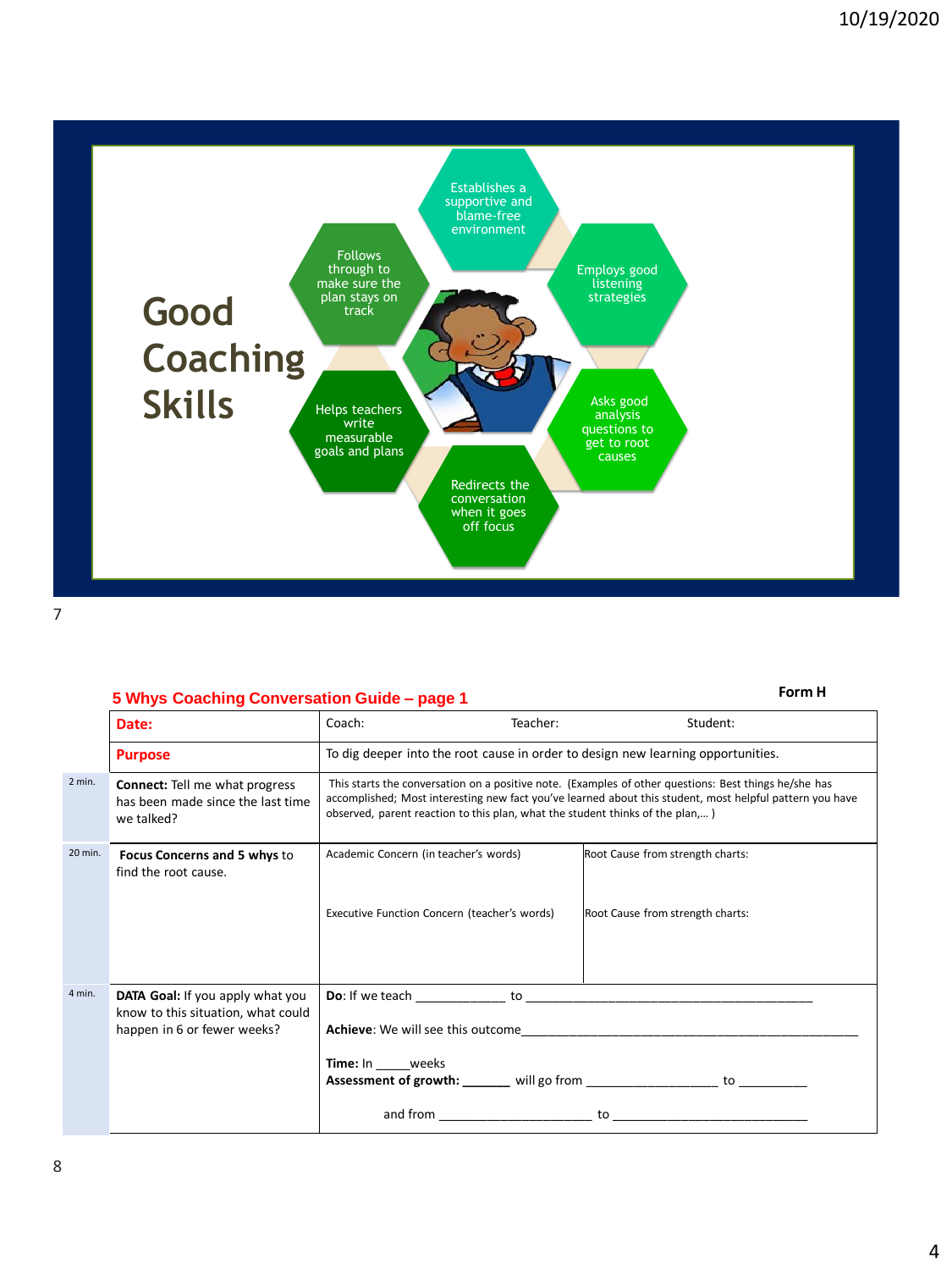

|          | 5 Whys Coaching Conversation Guide - page 1                                              |                                                                                                                                                                                                                                                                                                    | Form H   |                                                                                  |  |
|----------|------------------------------------------------------------------------------------------|----------------------------------------------------------------------------------------------------------------------------------------------------------------------------------------------------------------------------------------------------------------------------------------------------|----------|----------------------------------------------------------------------------------|--|
|          | Date:                                                                                    | Coach:                                                                                                                                                                                                                                                                                             | Teacher: | Student:                                                                         |  |
|          | <b>Purpose</b>                                                                           |                                                                                                                                                                                                                                                                                                    |          | To dig deeper into the root cause in order to design new learning opportunities. |  |
| $2$ min. | <b>Connect:</b> Tell me what progress<br>has been made since the last time<br>we talked? | This starts the conversation on a positive note. (Examples of other questions: Best things he/she has<br>accomplished; Most interesting new fact you've learned about this student, most helpful pattern you have<br>observed, parent reaction to this plan, what the student thinks of the plan,) |          |                                                                                  |  |
| 20 min.  | Focus Concerns and 5 whys to<br>find the root cause.                                     | Academic Concern (in teacher's words)                                                                                                                                                                                                                                                              |          | Root Cause from strength charts:                                                 |  |
|          |                                                                                          | Executive Function Concern (teacher's words)                                                                                                                                                                                                                                                       |          | Root Cause from strength charts:                                                 |  |
| 4 min.   | DATA Goal: If you apply what you<br>know to this situation, what could                   |                                                                                                                                                                                                                                                                                                    |          |                                                                                  |  |
|          | happen in 6 or fewer weeks?                                                              |                                                                                                                                                                                                                                                                                                    |          | <b>Achieve:</b> We will see this outcome <b>EXACTE ACALLER</b>                   |  |
|          |                                                                                          | <b>Time:</b> In weeks                                                                                                                                                                                                                                                                              |          |                                                                                  |  |
|          |                                                                                          |                                                                                                                                                                                                                                                                                                    |          |                                                                                  |  |
|          |                                                                                          |                                                                                                                                                                                                                                                                                                    |          |                                                                                  |  |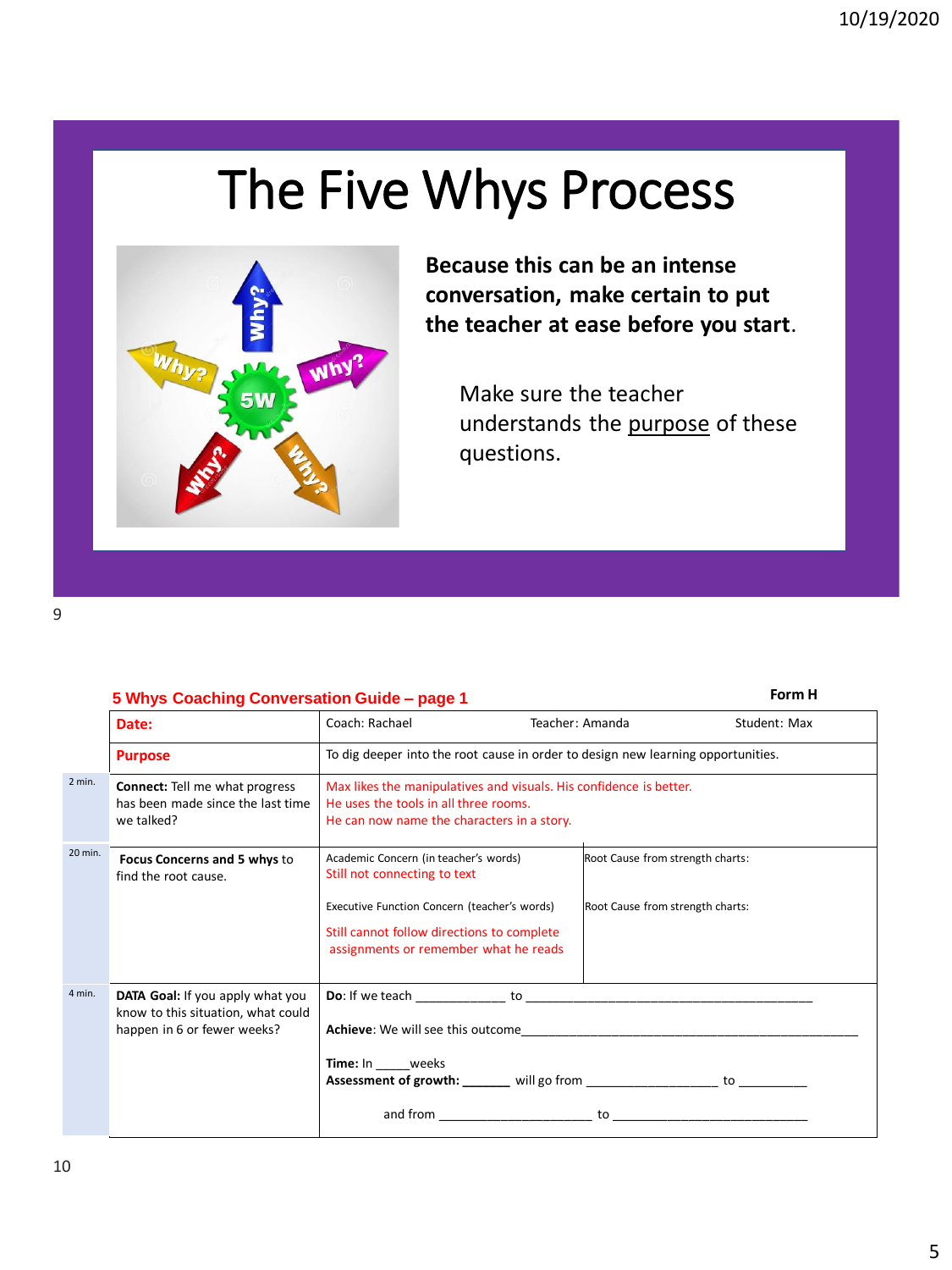# The Five Whys Process



**Because this can be an intense conversation, make certain to put the teacher at ease before you start**.

Make sure the teacher understands the purpose of these questions.

|          | 5 Whys Coaching Conversation Guide - page 1                                                           | Form H                                                                                                                                                                                                       |                                                                      |              |
|----------|-------------------------------------------------------------------------------------------------------|--------------------------------------------------------------------------------------------------------------------------------------------------------------------------------------------------------------|----------------------------------------------------------------------|--------------|
|          | Date:                                                                                                 | Coach: Rachael                                                                                                                                                                                               | Teacher: Amanda                                                      | Student: Max |
|          | <b>Purpose</b>                                                                                        | To dig deeper into the root cause in order to design new learning opportunities.                                                                                                                             |                                                                      |              |
| $2$ min. | <b>Connect:</b> Tell me what progress<br>has been made since the last time<br>we talked?              | Max likes the manipulatives and visuals. His confidence is better.<br>He uses the tools in all three rooms.<br>He can now name the characters in a story.                                                    |                                                                      |              |
| 20 min.  | Focus Concerns and 5 whys to<br>find the root cause.                                                  | Academic Concern (in teacher's words)<br>Still not connecting to text<br>Executive Function Concern (teacher's words)<br>Still cannot follow directions to complete<br>assignments or remember what he reads | Root Cause from strength charts:<br>Root Cause from strength charts: |              |
| 4 min.   | DATA Goal: If you apply what you<br>know to this situation, what could<br>happen in 6 or fewer weeks? | <b>Achieve:</b> We will see this outcome <b>Achieve:</b> We will see this outcome<br>Time: In weeks<br>Assessment of growth: ______ will go from ___________________ to ___________                          |                                                                      |              |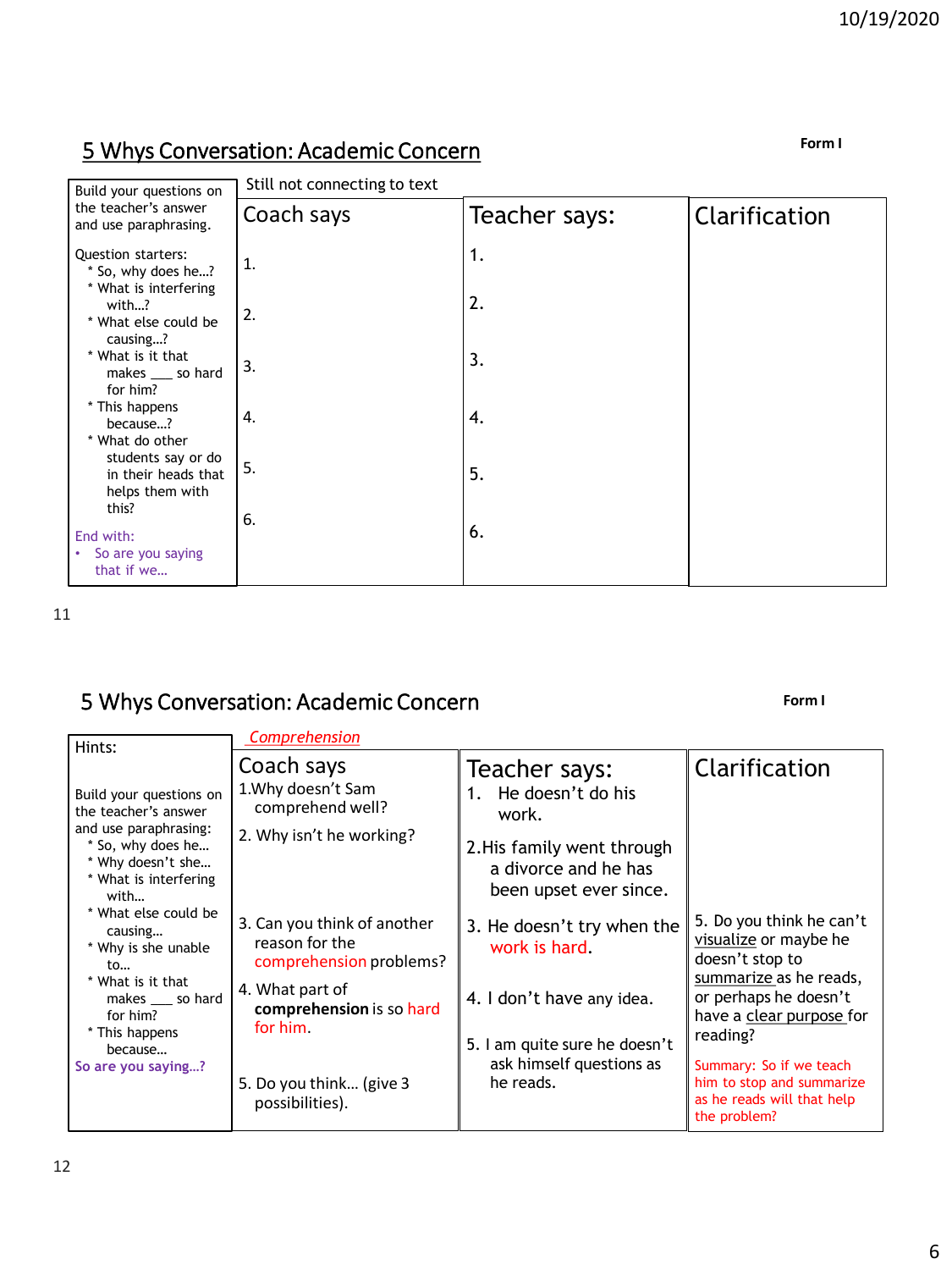### **Form I** 5 Whys Conversation: Academic Concern

| Build your questions on                                            | Still not connecting to text |               |               |  |  |  |
|--------------------------------------------------------------------|------------------------------|---------------|---------------|--|--|--|
| the teacher's answer<br>and use paraphrasing.                      | Coach says                   | Teacher says: | Clarification |  |  |  |
| Question starters:<br>* So, why does he?                           | 1.                           | 1.            |               |  |  |  |
| * What is interfering<br>with?<br>* What else could be<br>causing? | 2.                           | 2.            |               |  |  |  |
| * What is it that<br>makes ____ so hard<br>for him?                | 3.                           | 3.            |               |  |  |  |
| * This happens<br>because?<br>* What do other                      | 4.                           | 4.            |               |  |  |  |
| students say or do<br>in their heads that<br>helps them with       | 5.                           | 5.            |               |  |  |  |
| this?<br>End with:<br>So are you saying<br>that if we              | 6.                           | 6.            |               |  |  |  |

11

12

### 5 Whys Conversation: Academic Concern

| Hints:                                                                                           | Comprehension                                                            |                                                                              |                                                                                                    |  |  |  |
|--------------------------------------------------------------------------------------------------|--------------------------------------------------------------------------|------------------------------------------------------------------------------|----------------------------------------------------------------------------------------------------|--|--|--|
| Build your questions on<br>the teacher's answer                                                  | Coach says<br>1. Why doesn't Sam<br>comprehend well?                     | Teacher says:<br>He doesn't do his<br>1.<br>work.                            | Clarification                                                                                      |  |  |  |
| and use paraphrasing:<br>* So, why does he<br>* Why doesn't she<br>* What is interfering<br>with | 2. Why isn't he working?                                                 | 2. His family went through<br>a divorce and he has<br>been upset ever since. |                                                                                                    |  |  |  |
| * What else could be<br>causing<br>* Why is she unable<br>$\mathsf{to}$                          | 3. Can you think of another<br>reason for the<br>comprehension problems? | 3. He doesn't try when the<br>work is hard.                                  | 5. Do you think he can't<br>visualize or maybe he<br>doesn't stop to                               |  |  |  |
| * What is it that<br>makes so hard<br>for him?<br>* This happens                                 | 4. What part of<br>comprehension is so hard<br>for him.                  | 4. I don't have any idea.                                                    | summarize as he reads,<br>or perhaps he doesn't<br>have a clear purpose for<br>reading?            |  |  |  |
| because<br>So are you saying?                                                                    | 5. Do you think (give 3<br>possibilities).                               | 5. I am quite sure he doesn't<br>ask himself questions as<br>he reads.       | Summary: So if we teach<br>him to stop and summarize<br>as he reads will that help<br>the problem? |  |  |  |

**Form I**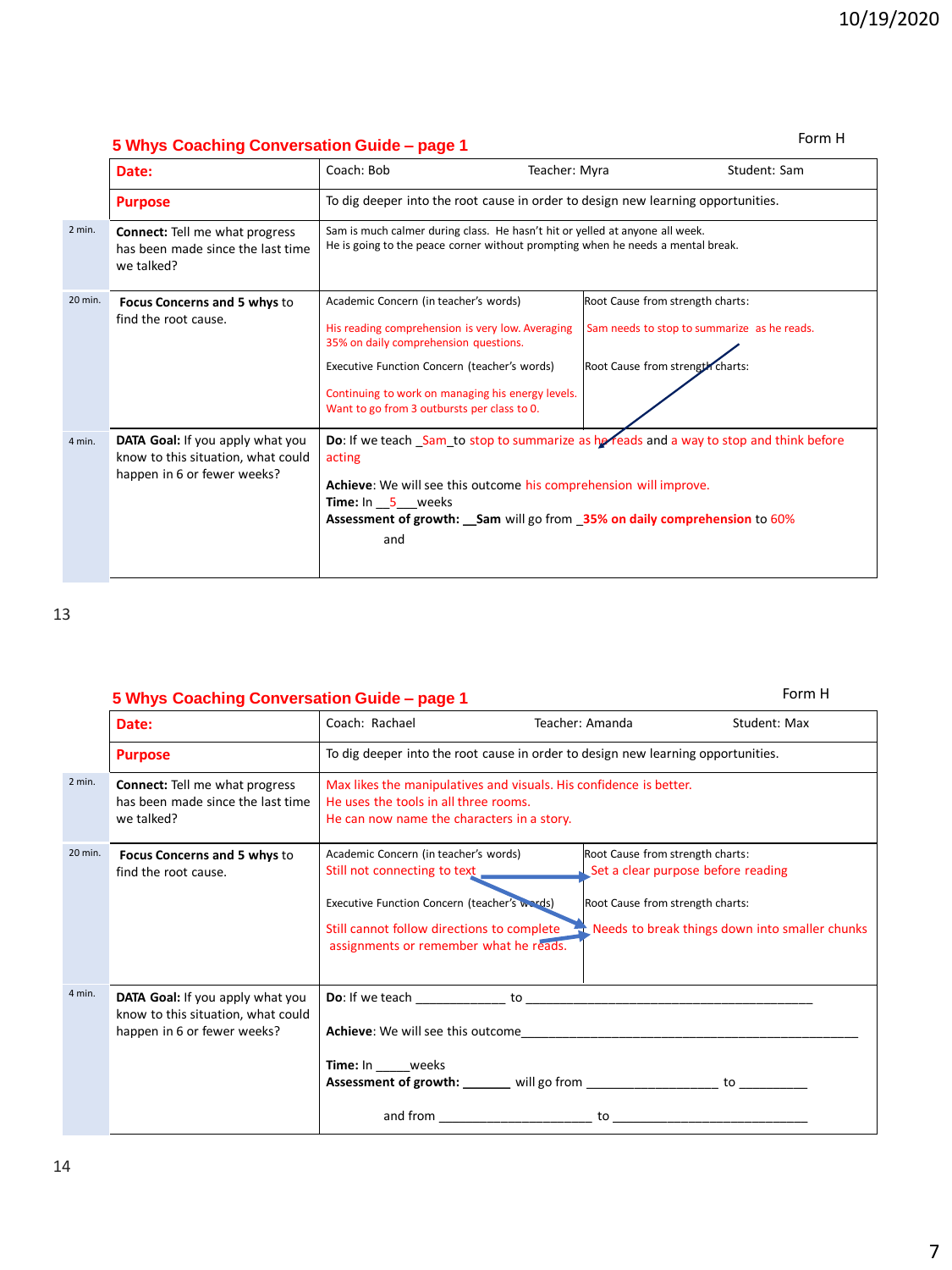### **5 Whys Coaching Conversation Guide – page 1** Form H Form H Form H Form H

|          | Date:                                                                                                        | Coach: Bob                                                                                                                                                                                                                                                                             | Teacher: Myra                                                                                                       | Student: Sam |  |
|----------|--------------------------------------------------------------------------------------------------------------|----------------------------------------------------------------------------------------------------------------------------------------------------------------------------------------------------------------------------------------------------------------------------------------|---------------------------------------------------------------------------------------------------------------------|--------------|--|
|          | <b>Purpose</b>                                                                                               | To dig deeper into the root cause in order to design new learning opportunities.                                                                                                                                                                                                       |                                                                                                                     |              |  |
| $2$ min. | <b>Connect:</b> Tell me what progress<br>has been made since the last time<br>we talked?                     | Sam is much calmer during class. He hasn't hit or yelled at anyone all week.<br>He is going to the peace corner without prompting when he needs a mental break.                                                                                                                        |                                                                                                                     |              |  |
| 20 min.  | Focus Concerns and 5 whys to<br>find the root cause.                                                         | Academic Concern (in teacher's words)<br>His reading comprehension is very low. Averaging<br>35% on daily comprehension questions.<br>Executive Function Concern (teacher's words)<br>Continuing to work on managing his energy levels.<br>Want to go from 3 outbursts per class to 0. | Root Cause from strength charts:<br>Sam needs to stop to summarize as he reads.<br>Root Cause from strength charts: |              |  |
| 4 min.   | <b>DATA Goal:</b> If you apply what you<br>know to this situation, what could<br>happen in 6 or fewer weeks? | Do: If we teach Sam to stop to summarize as he reads and a way to stop and think before<br>acting<br>Achieve: We will see this outcome his comprehension will improve.<br><b>Time:</b> In 5 weeks<br>Assessment of growth: Sam will go from 35% on daily comprehension to 60%<br>and   |                                                                                                                     |              |  |

|         | 5 Whys Coaching Conversation Guide - page 1                                                           |                                                                                                                                                                                                                          | Form H                                                                           |                                                                                                  |
|---------|-------------------------------------------------------------------------------------------------------|--------------------------------------------------------------------------------------------------------------------------------------------------------------------------------------------------------------------------|----------------------------------------------------------------------------------|--------------------------------------------------------------------------------------------------|
|         | Date:                                                                                                 | Coach: Rachael                                                                                                                                                                                                           | Teacher: Amanda                                                                  | Student: Max                                                                                     |
|         | <b>Purpose</b>                                                                                        |                                                                                                                                                                                                                          | To dig deeper into the root cause in order to design new learning opportunities. |                                                                                                  |
| 2 min.  | <b>Connect:</b> Tell me what progress<br>has been made since the last time<br>we talked?              | He uses the tools in all three rooms.<br>He can now name the characters in a story.                                                                                                                                      | Max likes the manipulatives and visuals. His confidence is better.               |                                                                                                  |
| 20 min. | Focus Concerns and 5 whys to<br>find the root cause.                                                  | Academic Concern (in teacher's words)<br>Still not connecting to text __________<br>Executive Function Concern (teacher's words)<br>Still cannot follow directions to complete<br>assignments or remember what he reads. | Root Cause from strength charts:<br>Root Cause from strength charts:             | Set a clear purpose before reading<br>$\triangle$ Needs to break things down into smaller chunks |
| 4 min.  | DATA Goal: If you apply what you<br>know to this situation, what could<br>happen in 6 or fewer weeks? | Time: In weeks                                                                                                                                                                                                           | <b>Achieve:</b> We will see this outcome                                         |                                                                                                  |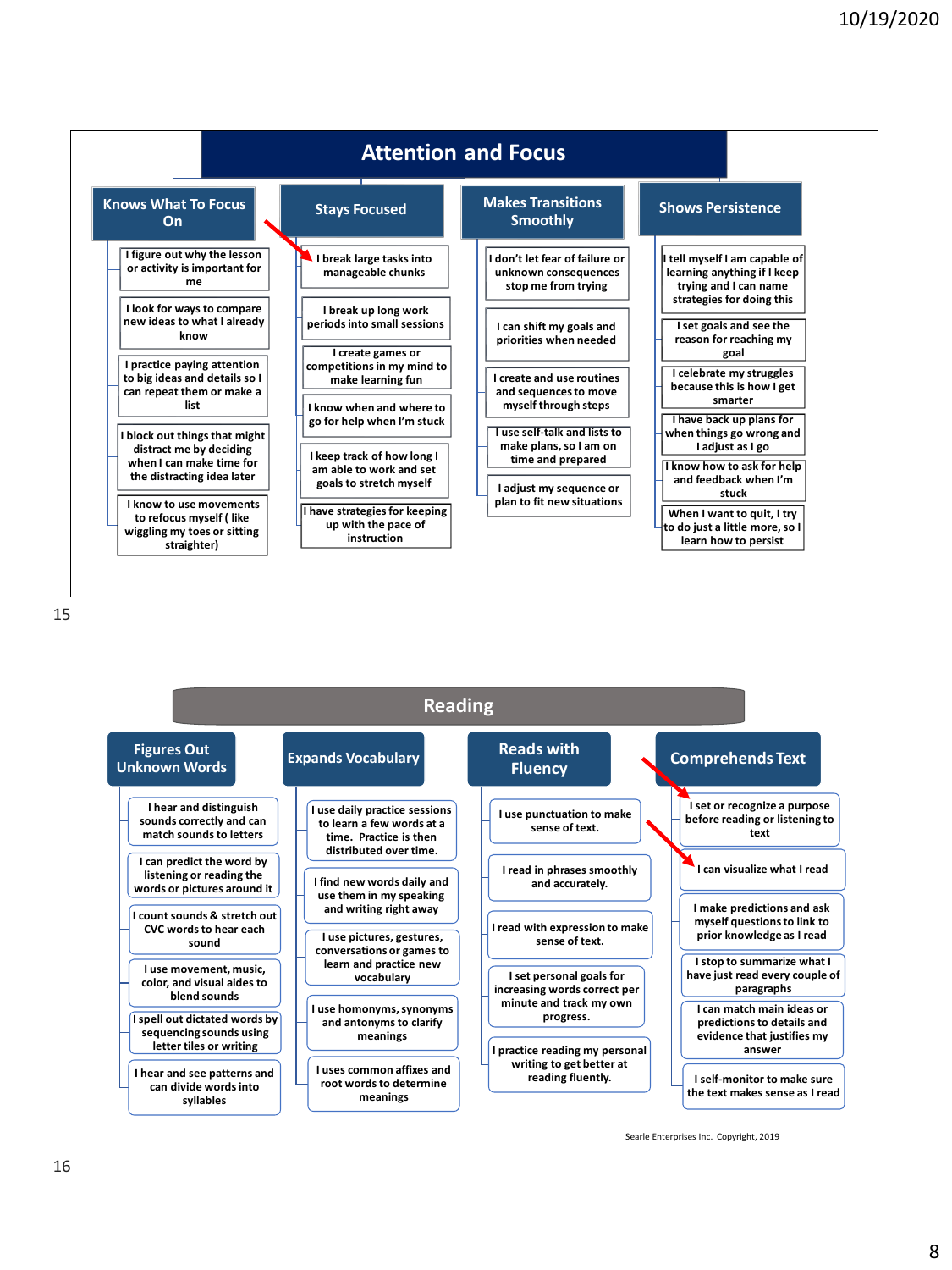

|                                                                                      | <b>Reading</b>                                                                                                                                                                                                                                                                                                                 |                                                                        |                                                                                                 |
|--------------------------------------------------------------------------------------|--------------------------------------------------------------------------------------------------------------------------------------------------------------------------------------------------------------------------------------------------------------------------------------------------------------------------------|------------------------------------------------------------------------|-------------------------------------------------------------------------------------------------|
| <b>Figures Out</b><br><b>Unknown Words</b>                                           | <b>Expands Vocabulary</b>                                                                                                                                                                                                                                                                                                      | <b>Reads with</b><br><b>Fluency</b>                                    | <b>Comprehends Text</b>                                                                         |
| I hear and distinguish<br>sounds correctly and can<br>match sounds to letters        | I use daily practice sessions<br>to learn a few words at a<br>time. Practice is then<br>distributed over time.                                                                                                                                                                                                                 | I use punctuation to make<br>sense of text.                            | I set or recognize a purpose<br>before reading or listening to<br>text                          |
| I can predict the word by<br>listening or reading the<br>words or pictures around it | I find new words daily and<br>use them in my speaking<br>and writing right away<br>I use pictures, gestures,<br>conversations or games to<br>learn and practice new<br>vocabulary<br>I use homonyms, synonyms<br>and antonyms to clarify<br>meanings<br><b>Luses common affixes and</b><br>root words to determine<br>meanings | I read in phrases smoothly<br>and accurately.                          | I can visualize what I read                                                                     |
| I count sounds & stretch out<br>CVC words to hear each<br>sound                      |                                                                                                                                                                                                                                                                                                                                | I read with expression to make<br>sense of text.                       | I make predictions and ask<br>myself questions to link to<br>prior knowledge as I read          |
| I use movement, music,<br>color, and visual aides to<br>blend sounds                 |                                                                                                                                                                                                                                                                                                                                | I set personal goals for<br>increasing words correct per               | I stop to summarize what I<br>have just read every couple of<br>paragraphs                      |
| I spell out dictated words by<br>sequencing sounds using<br>letter tiles or writing  |                                                                                                                                                                                                                                                                                                                                | minute and track my own<br>progress.<br>I practice reading my personal | I can match main ideas or<br>predictions to details and<br>evidence that justifies my<br>answer |
| I hear and see patterns and<br>can divide words into<br>syllables                    |                                                                                                                                                                                                                                                                                                                                | writing to get better at<br>reading fluently.                          | I self-monitor to make sure<br>the text makes sense as I read                                   |

Searle Enterprises Inc. Copyright, 2019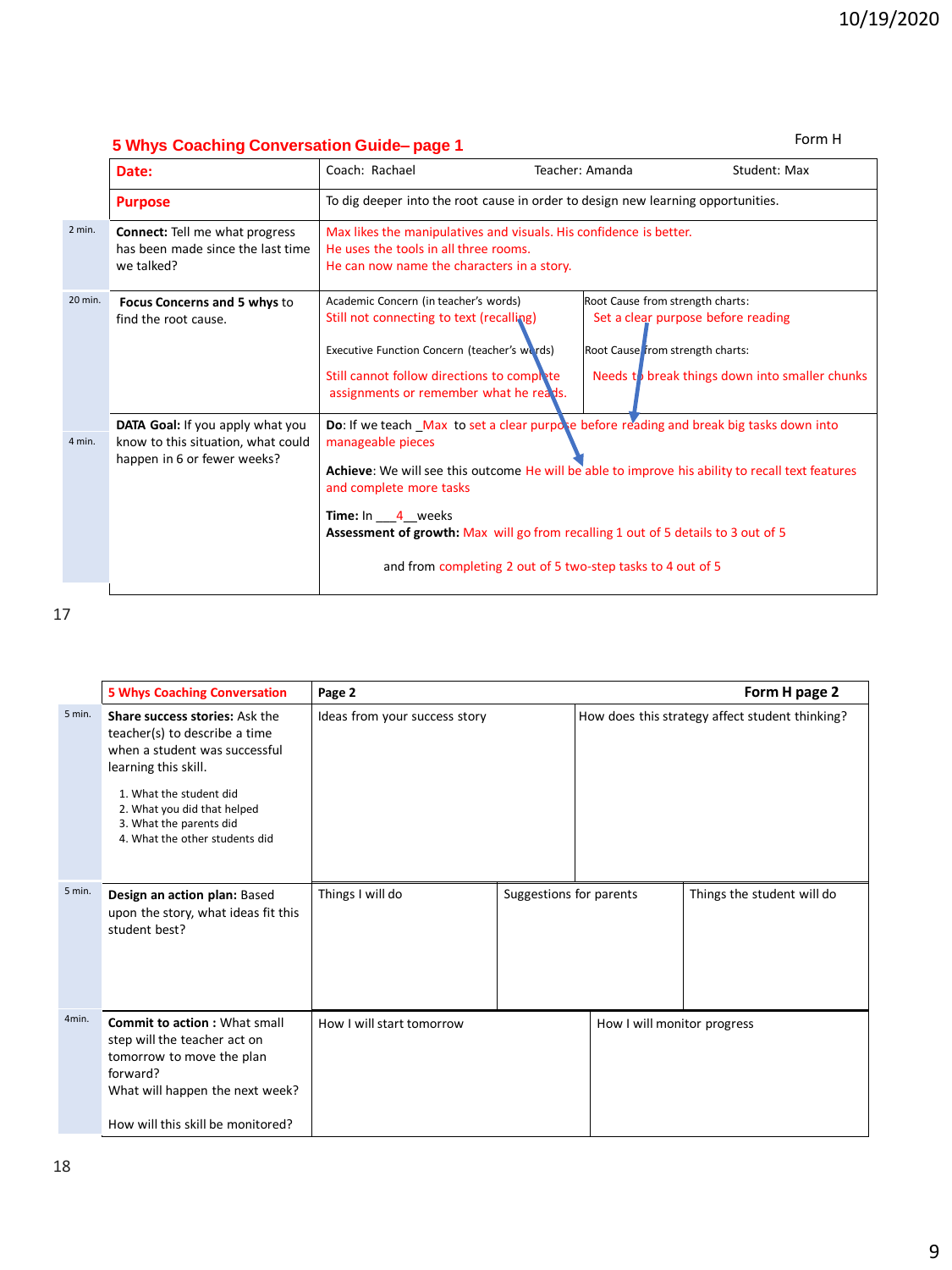### **5 Whys Coaching Conversation Guide– page 1** Form H Form H Form H

|         | Date:                                                                                                 | Coach: Rachael                                                                                                                                                                                                                                                                                                                                        | Teacher: Amanda                                                                                            | Student: Max                                   |  |  |
|---------|-------------------------------------------------------------------------------------------------------|-------------------------------------------------------------------------------------------------------------------------------------------------------------------------------------------------------------------------------------------------------------------------------------------------------------------------------------------------------|------------------------------------------------------------------------------------------------------------|------------------------------------------------|--|--|
|         | <b>Purpose</b>                                                                                        |                                                                                                                                                                                                                                                                                                                                                       | To dig deeper into the root cause in order to design new learning opportunities.                           |                                                |  |  |
| 2 min.  | <b>Connect:</b> Tell me what progress<br>has been made since the last time<br>we talked?              | Max likes the manipulatives and visuals. His confidence is better.<br>He uses the tools in all three rooms.<br>He can now name the characters in a story.                                                                                                                                                                                             |                                                                                                            |                                                |  |  |
| 20 min. | <b>Focus Concerns and 5 whys to</b><br>find the root cause.                                           | Academic Concern (in teacher's words)<br>Still not connecting to text (recalling)<br>Executive Function Concern (teacher's words)<br>Still cannot follow directions to complete<br>assignments or remember what he reads.                                                                                                                             | Root Cause from strength charts:<br>Set a clear purpose before reading<br>Root Cause from strength charts: | Needs to break things down into smaller chunks |  |  |
| 4 min.  | DATA Goal: If you apply what you<br>know to this situation, what could<br>happen in 6 or fewer weeks? | Do: If we teach _Max to set a clear purpose before reading and break big tasks down into<br>manageable pieces<br>Achieve: We will see this outcome He will be able to improve his ability to recall text features<br>and complete more tasks<br>Time: In 4 weeks<br>Assessment of growth: Max will go from recalling 1 out of 5 details to 3 out of 5 | and from completing 2 out of 5 two-step tasks to 4 out of 5                                                |                                                |  |  |

|          | <b>5 Whys Coaching Conversation</b>                                                                                                                                                                                                             | Page 2                        |                         | Form H page 2                                   |                            |  |
|----------|-------------------------------------------------------------------------------------------------------------------------------------------------------------------------------------------------------------------------------------------------|-------------------------------|-------------------------|-------------------------------------------------|----------------------------|--|
| $5$ min. | Share success stories: Ask the<br>teacher(s) to describe a time<br>when a student was successful<br>learning this skill.<br>1. What the student did<br>2. What you did that helped<br>3. What the parents did<br>4. What the other students did | Ideas from your success story |                         | How does this strategy affect student thinking? |                            |  |
| 5 min.   | Design an action plan: Based<br>upon the story, what ideas fit this<br>student best?                                                                                                                                                            | Things I will do              | Suggestions for parents |                                                 | Things the student will do |  |
| 4min.    | <b>Commit to action: What small</b><br>step will the teacher act on<br>tomorrow to move the plan<br>forward?<br>What will happen the next week?<br>How will this skill be monitored?                                                            | How I will start tomorrow     |                         | How I will monitor progress                     |                            |  |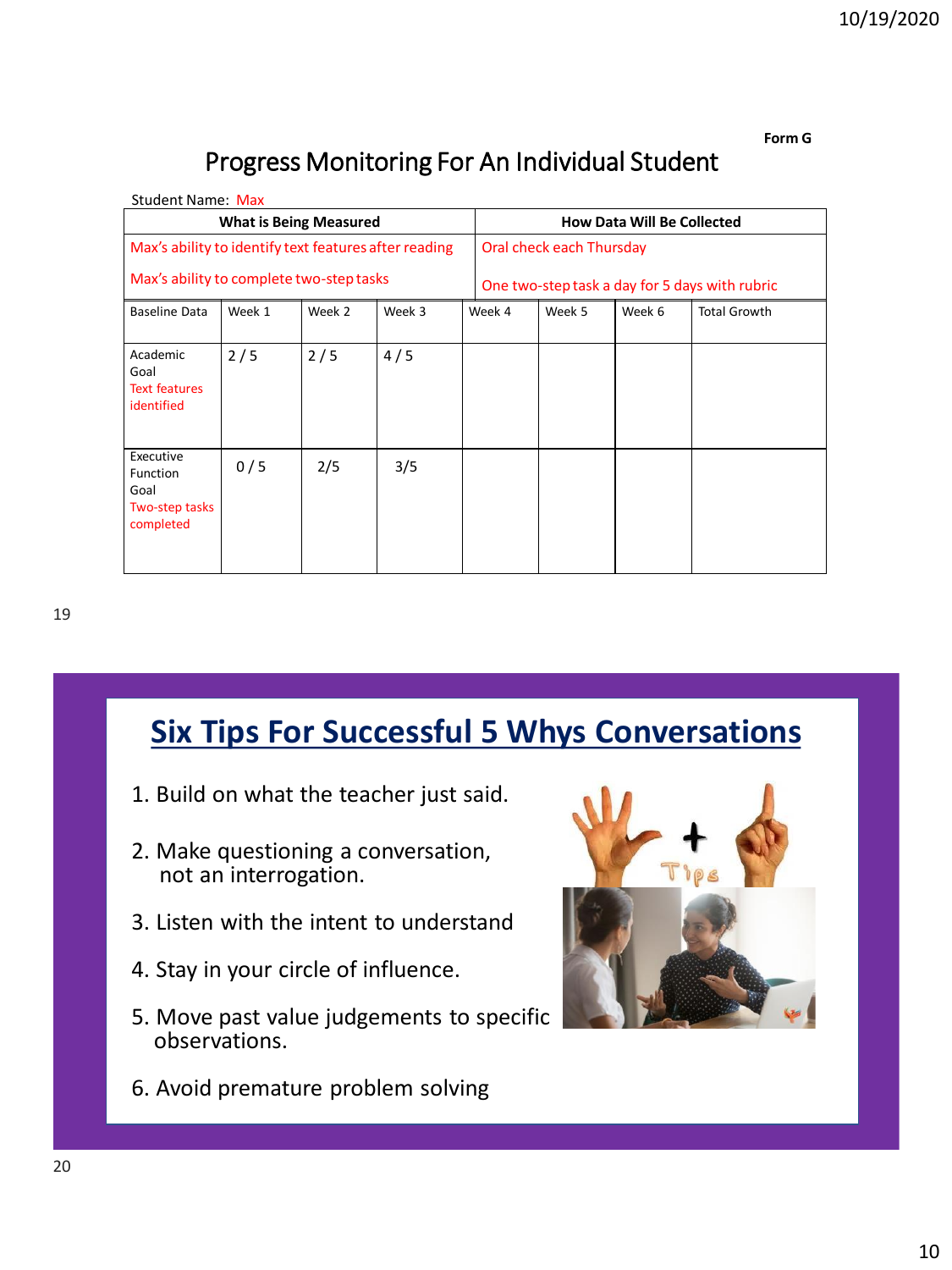### **Form G**

### Progress Monitoring For An Individual Student

| <b>Student Name: Max</b>                                            |        |        |        |        |                                   |        |                                                |  |
|---------------------------------------------------------------------|--------|--------|--------|--------|-----------------------------------|--------|------------------------------------------------|--|
| <b>What is Being Measured</b>                                       |        |        |        |        | <b>How Data Will Be Collected</b> |        |                                                |  |
| Max's ability to identify text features after reading               |        |        |        |        | Oral check each Thursday          |        |                                                |  |
| Max's ability to complete two-step tasks                            |        |        |        |        |                                   |        | One two-step task a day for 5 days with rubric |  |
| Baseline Data                                                       | Week 1 | Week 2 | Week 3 | Week 4 | Week 5                            | Week 6 | <b>Total Growth</b>                            |  |
| Academic<br>Goal<br><b>Text features</b><br>identified              | 2/5    | 2/5    | 4/5    |        |                                   |        |                                                |  |
| Executive<br><b>Function</b><br>Goal<br>Two-step tasks<br>completed | 0/5    | 2/5    | 3/5    |        |                                   |        |                                                |  |

### **Six Tips For Successful 5 Whys Conversations**

- 1. Build on what the teacher just said.
- 2. Make questioning a conversation, not an interrogation.
- 3. Listen with the intent to understand
- 4. Stay in your circle of influence.
- 5. Move past value judgements to specific observations.
- 6. Avoid premature problem solving